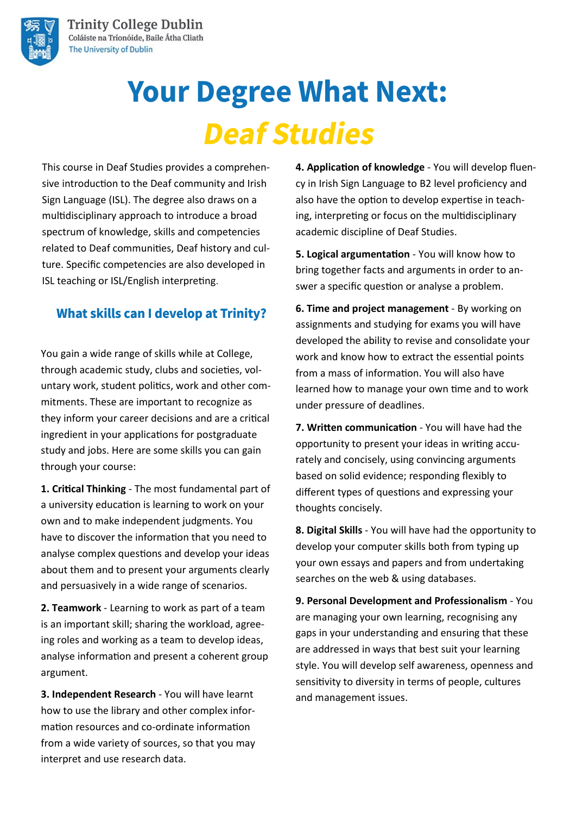

# **Your Degree What Next: Deaf Studies**

This course in Deaf Studies provides a comprehensive introduction to the Deaf community and Irish Sign Language (ISL). The degree also draws on a multidisciplinary approach to introduce a broad spectrum of knowledge, skills and competencies related to Deaf communities, Deaf history and culture. Specific competencies are also developed in ISL teaching or ISL/English interpreting.

#### **What skills can I develop at Trinity?**

You gain a wide range of skills while at College, through academic study, clubs and societies, voluntary work, student politics, work and other commitments. These are important to recognize as they inform your career decisions and are a critical ingredient in your applications for postgraduate study and jobs. Here are some skills you can gain through your course:

**1. Critical Thinking** - The most fundamental part of a university education is learning to work on your own and to make independent judgments. You have to discover the information that you need to analyse complex questions and develop your ideas about them and to present your arguments clearly and persuasively in a wide range of scenarios.

**2. Teamwork** - Learning to work as part of a team is an important skill; sharing the workload, agreeing roles and working as a team to develop ideas, analyse information and present a coherent group argument.

**3. Independent Research** - You will have learnt how to use the library and other complex information resources and co-ordinate information from a wide variety of sources, so that you may interpret and use research data.

**4. Application of knowledge** - You will develop fluency in Irish Sign Language to B2 level proficiency and also have the option to develop expertise in teaching, interpreting or focus on the multidisciplinary academic discipline of Deaf Studies.

**5. Logical argumentation** - You will know how to bring together facts and arguments in order to answer a specific question or analyse a problem.

**6. Time and project management** - By working on assignments and studying for exams you will have developed the ability to revise and consolidate your work and know how to extract the essential points from a mass of information. You will also have learned how to manage your own time and to work under pressure of deadlines.

**7. Written communication** - You will have had the opportunity to present your ideas in writing accurately and concisely, using convincing arguments based on solid evidence; responding flexibly to different types of questions and expressing your thoughts concisely.

**8. Digital Skills** - You will have had the opportunity to develop your computer skills both from typing up your own essays and papers and from undertaking searches on the web & using databases.

**9. Personal Development and Professionalism** - You are managing your own learning, recognising any gaps in your understanding and ensuring that these are addressed in ways that best suit your learning style. You will develop self awareness, openness and sensitivity to diversity in terms of people, cultures and management issues.